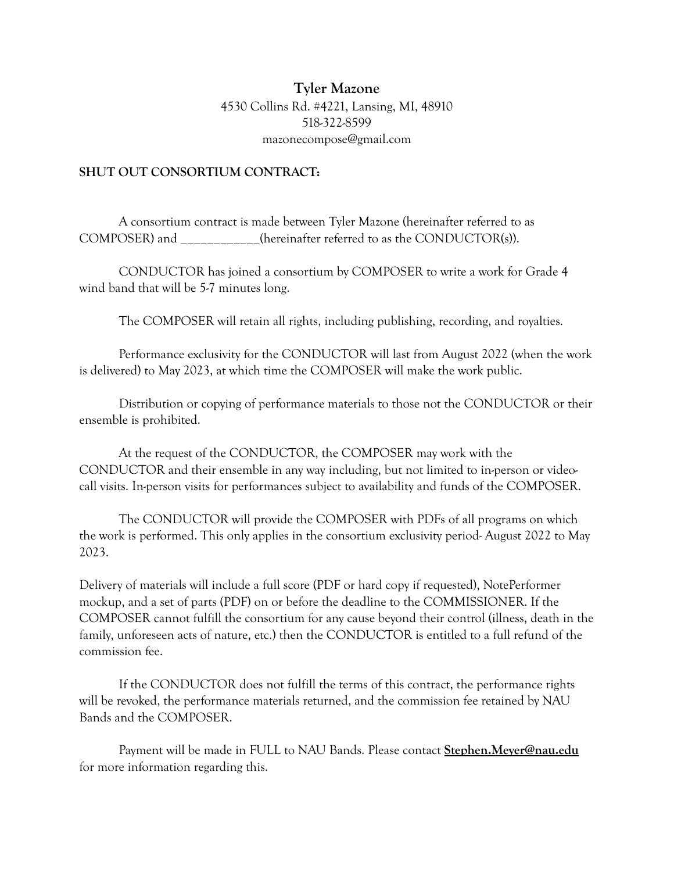## **Tyler Mazone** 4530 Collins Rd. #4221, Lansing, MI, 48910 518-322-8599 mazonecompose@gmail.com

## **SHUT OUT CONSORTIUM CONTRACT:**

A consortium contract is made between Tyler Mazone (hereinafter referred to as COMPOSER) and  $(herenafter referred to as the CONDUCTOR(s)).$ 

CONDUCTOR has joined a consortium by COMPOSER to write a work for Grade 4 wind band that will be 5-7 minutes long.

The COMPOSER will retain all rights, including publishing, recording, and royalties.

Performance exclusivity for the CONDUCTOR will last from August 2022 (when the work is delivered) to May 2023, at which time the COMPOSER will make the work public.

Distribution or copying of performance materials to those not the CONDUCTOR or their ensemble is prohibited.

At the request of the CONDUCTOR, the COMPOSER may work with the CONDUCTOR and their ensemble in any way including, but not limited to in-person or videocall visits. In-person visits for performances subject to availability and funds of the COMPOSER.

The CONDUCTOR will provide the COMPOSER with PDFs of all programs on which the work is performed. This only applies in the consortium exclusivity period- August 2022 to May 2023.

Delivery of materials will include a full score (PDF or hard copy if requested), NotePerformer mockup, and a set of parts (PDF) on or before the deadline to the COMMISSIONER. If the COMPOSER cannot fulfill the consortium for any cause beyond their control (illness, death in the family, unforeseen acts of nature, etc.) then the CONDUCTOR is entitled to a full refund of the commission fee.

If the CONDUCTOR does not fulfill the terms of this contract, the performance rights will be revoked, the performance materials returned, and the commission fee retained by NAU Bands and the COMPOSER.

Payment will be made in FULL to NAU Bands. Please contact **[Stephen.Meyer@nau.edu](mailto:stephen.Meyer@nau.edu)** for more information regarding this.